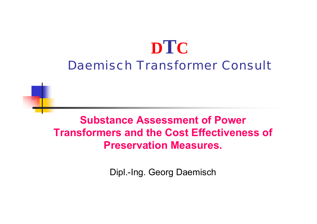# **DTC** Daemisch Transformer Consult

# **Substance Assessment of Power Transformers and the Cost Effectiveness of Preservation Measures.**

Dipl.-Ing. Georg Daemisch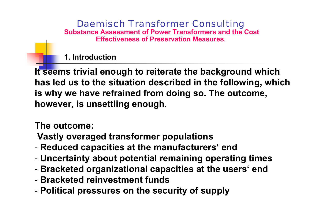Daemisch Transformer Consulting **Substance Assessment of Power Transformers and the Cost Effectiveness of Preservation Measures.**

**1. Introduction**

**It seems trivial enough to reiterate the background which has led u s to the situation described in the following, which is why w e have refrained from doing so. The outcome, however, is unsettling enough.**

**The outcome:** 

**Vastly overaged transformer populations**

- **Reduced capacities at the manufacturers' end**
- -**Uncertainty about potential remaining operating times**
- **Bracketed organizational capacities at the users' end**
- **Bracketedreinvestment funds**
- -**Political pressures on the security of supply**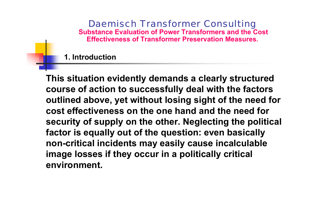**1. Introduction**

**This situation evidently demands a clearly structured course of action to successfully deal with the factors outlined above, yet without losing sight of the need for cost effectiveness on the one hand and the need for security of supply on the other. Neglecting the political factor is equally out of the question: even basically non-critical incidents may easily cause incalculable image losses if they occur in a politically critical environment.**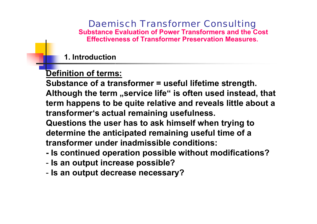**1. Introduction**

### **Definition of terms:**

**Substance of a transformer = useful lifetime strength.** 

**Although the term "service life" is often used instead, that term happens to be quite relative and reveals little about a transformer's actual remaining usefulness.**

**Questions the user has to ask himself when trying to determine the anticipated remaining useful time of a transformerunder inadmissibleconditions:**

- **- Is continued operation possible without modifications?**
- **Is an output increase possible?**
- **Is an output decrease necessary?**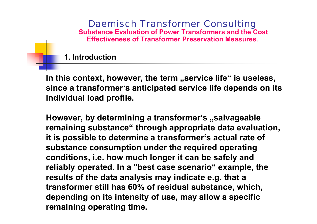**1. Introduction**

In this context, however, the term "service life" is useless, **since a transformer's anticipated service life depends on its individual load profile.**

**However, by determining a transformer's "salvageable remaining substance" through appropriate data evaluation, it is possible to determine a transformer's actual rate of substance consumption under the required operating conditions, i.e. how much longer it can be safely and reliably operated. In a "best case scenario" example, the results of the data analysis may indicate e.g. that <sup>a</sup> transformer still has 60% of residual substance, which, depending on its intensity of use, may allow a specific remaining operating time.**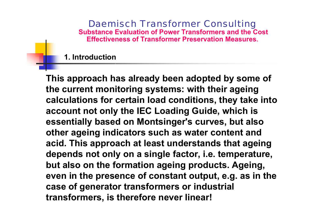**1. Introduction**

**This approach has already been adopted by some of the current monitoring systems: with their ageing calculations for certain load conditions, they take into account not only the IEC Loading Guide, which is essentially based on Montsinger's curves, but also other ageing indicators such as water content and acid. This approach at least understands that ageing depends not only on a single factor, i.e. temperature, but also on the formation ageing products. Ageing, even in the presence of constant output, e.g. as in the case of generator transformers o r industrial transformers, is therefore never linear!**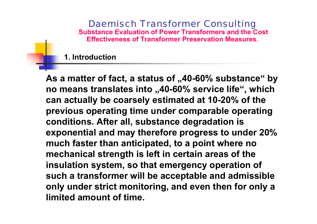**1. Introduction**

As a matter of fact, a status of "40-60% substance" by **no means translates into "40-60% service life", which can actually be coarsely estimated at 10-20% of the previous operating time under comparable operating conditions. After all, substance degradation is exponential and may therefore progress to under 20% much faster than anticipated, to a point where no mechanical strength is left in certain areas of the insulation system, so that emergency operation of such a transformer will be acceptable and admissible only under strict monitoring, and even then for only a limited amount of time.**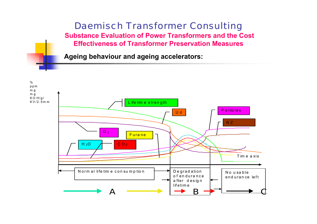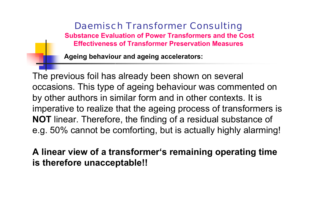**Ageing behaviour and ageing accelerators:**

The previous foil has already been shown on several occasions. This type of ageing behaviour was commented on by other authors in similar form and in other contexts. It is imperative to realize that the ageing process of transformers is **NOT** linear. Therefore, the finding of a residual substance of e.g. 50% cannot be comforting, but is actually highly alarming!

**A linear view of a transformer's remaining operating time is therefore unacceptable!!**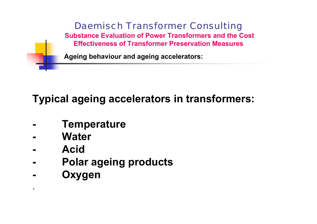

# **Typical ageing accelerators in transformers:**

- **-Temperature**
- **-Water**
- **- Acid**

**-**

.

- **-Polar ageing products**
	- **Oxygen**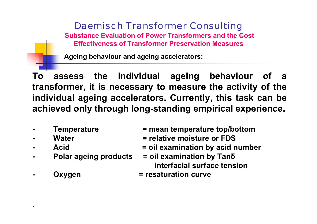**Ageing behaviour and ageing accelerators:**

**To assess the individual ageing behaviour of a transformer, it is necessary to measure the activity of the individual ageing accelerators. Currently, this task can be achieved only through long-standing empirical experience.**

- 
- **Water**
- Acid
- **Polar ageing products**
- 

.

- **Temperature = mean temperature top/bottom**
	- **= relative moisture or FDS**
		- **examination b y acid number**
		- **b y Tan δ interfacialsurface tension**
- **Oxygen = resaturation curve**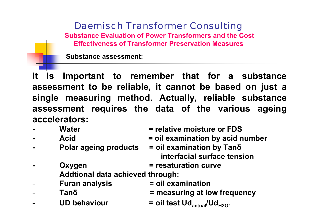**Substanceassessment:**

**It is important to remember that for a substance assessment to be reliable, it cannot be based on just a**  single measuring method. Actually, reliable substance **assessment requires the data of the various ageing accelerators:**

- **Water**
- 
- **Polar ageing products**
- **= relative moisture or FDS**
- **Acid = oil examination b y acid number**
	- **b y Tan δ interfacial surface tension**
	- **Oxygen = resaturation curve**
	- **Addtional data achieved through:**
- -**Furan analysis**
- -**Tanδ**
- -**UD behaviour**
- **= oil examination**
- **= measuring at lo w frequency**
- **= oil test Udactual/UdH2O**.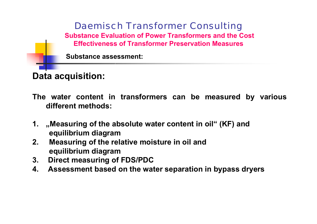**Substance assessment:**

**Data acquisition:**

- **The water content in transformers can be measured by various different methods:**
- **1. "Measuring of the absolute water content in oil" (KF) and equilibrium diagram**
- **2. Measuring of the relative moisture in oil and equilibrium diagram**
- **3.Direct measuring of FDS/PDC**
- **4.Assessment based on the water separation in bypass dryers**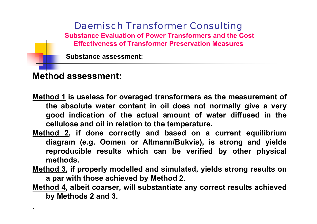**Substanceassessment:**

### **Method assessment:**

.

- **Method 1 is useless for overaged transformers as the measurement of the absolute water content in oil does not normally give a very good indication of the actual amount of water diffused in th e cellulose and oil in relation to the temperature.**
- **Method 2, if done correctly and based on a current equilibrium diagram (e.g. Oomen o r Altmann/Bukvis), is strong and yields reproducible results which can be verifie d b y other physical methods.**
- **Method 3, if properly modelled and simulated, yields strong results on a par with those achieved b y Method 2.**
- **Method 4, albeit coarser, will substantiate any correct results achieved by Methods 2 and 3.**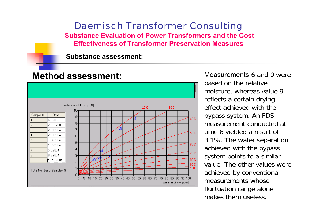**Substanceassessment:**

### **Method assessment:**



Measurements 6 and 9 werebased on the relative moisture, whereas value 9 reflects a certain drying effect achieved with the bypass system. An FDS measurement conducted at time 6 yielded a result of 3.1%. The water separation achieved with the bypass system points to a similar value. The other values were achieved by conventional measurements whosefluctuation range alone makes them useless.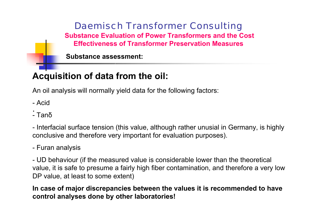**Substanceassessment:**

# **Acquisition of data from the oil:**

An oil analysis will normally yield dat a for the following factors:

-Acid

. - Tanδ

- Interfacial surface tension (this value, although rather unusial in Germany, is highly conclusive and therefore very important for evaluation purposes).

#### - Furan analysis

- UD behaviour (if the measured value is considerable lower than the theoretical value, it is safe to presume a fairly high fiber contamination, and therefore a very low DP value, at least to some extent)

**In case of major discrepancies between the values it is recommended to have control analyses done b y other laboratories!**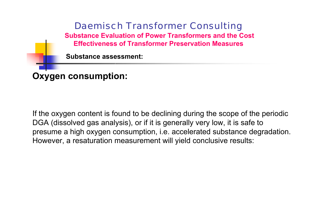

If the oxygen content is found to be declining during the scope of the periodic DGA (dissolved gas analysis), or if it is generally very low, it is safe to presume a high oxygen consumption, i.e. accelerated substance degradation. Howev er, a resaturation measurement will yield conclusiv e results: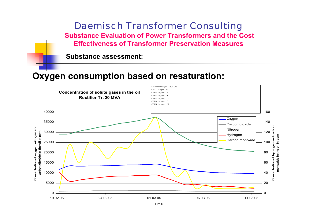**Substanceassessment:**

### **Oxygen consumption based on resaturation:**

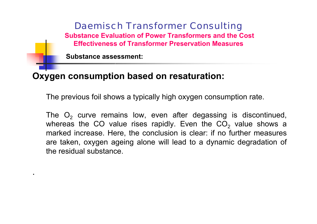**Substanceassessment:**

.

### **Oxygen consumption based on resaturation:**

The previous foil shows a typically high oxygen consumption rate.

The  $\mathsf{O}_2$  curve remains low, even after degassing is discontinued, whereas the CO value rises rapidly. Even the CO $_{\rm 2}$  value shows a marked increase. Here, the conclusion is clear: if no further measures are taken, oxygen ageing alone will lead to a dynamic degradation of the residual substance.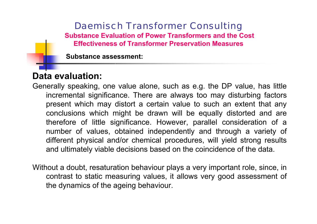**Substanceassessment:**

# **Data evaluation:**

Generally speaking, one value alone, such as e.g. the DP value, has little incremental significance. There are always too may disturbing factors present which may distort a certain value to such an extent that any conclusions which might be drawn will be equally distorted and are therefore of little significance. However, parallel consideration of a number of values, obtained independently and through a variety of different physical and/or chemical procedures, will yield strong results and ultimately viable decisions based on the coincidence of the data.

Without a doubt, resaturation behaviour plays a very important role, since, in contrast to static measuring values, it allow s very good assessment of the dynamic s of the ageing behaviour.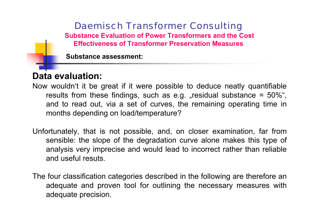**Substanceassessment:**

# **Data evaluation:**

- Now wouldn't it be great if it were possible to deduce neatly quantifiable results from these findings, such as e.g. "residual substance = 50%", and to read out, via a set of curves, the remaining operating time in months depending on load/temperature?
- Unfortunately, that is not possible, and, on closer examination, far from sensible: the slope of the degradation curve alone makes this type of analysis very imprecise and would lead to incorrect rather than reliable and useful resuts.
- The four classification categories described in the following are therefore an adequate and proven tool for outlining the necessary measures with adequate precision.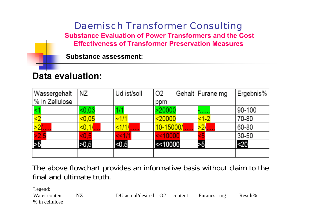**Substanceassessment:**

# **Data evaluation:**

| Wassergehalt   | ΝZ      | Ud ist/soll | O <sub>2</sub> | Gehalt   Furane mg | Ergebnis% |
|----------------|---------|-------------|----------------|--------------------|-----------|
| % in Zellulose |         |             | ppm            |                    |           |
|                | < 0.03  |             | >20000         |                    | 90-100    |
|                | $0.05$  | ~1/1        | $20000$        | <1-2               | 70-80     |
| >2             | < 0, 1/ | <1/1/1      | 10-15000/      | $\frac{1}{2}$      | 60-80     |
| >2,5           | < 0.5   | <<1/1       | << 10000       |                    | 30-50     |
|                | >0,5    | < 0.5       | <<10000        | >5                 | $20$      |
|                |         |             |                |                    |           |

The above flowchart provides an informative basis without claim to the final and ultimate truth.

Legend:

Water content % in cellulose

NZ DU actual/desired O2 content es mg Result%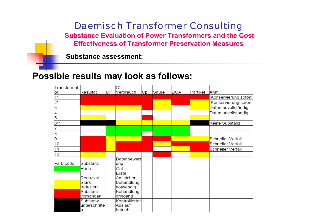**Substanceassessment:**

### **Possible results may look as follows:**

| Transformat |                       |    | O2                         |    |       |     |          |                      |
|-------------|-----------------------|----|----------------------------|----|-------|-----|----------|----------------------|
| or          | Resultat              | DP | Verbrauch                  | Сp | Säure | DGA | Partikel | Anm.                 |
| $1^*$       |                       |    |                            |    |       |     |          | Konservierung sofort |
| $2^*$       |                       |    |                            |    |       |     |          | Konservierung sofort |
| 3           |                       |    |                            |    |       |     |          | Daten unvollständig  |
| 4           |                       |    |                            |    |       |     |          | Daten unvollständig  |
| 5           |                       |    |                            |    |       |     |          |                      |
| 6**         |                       |    |                            |    |       |     |          | Keine Substanz       |
|             |                       |    |                            |    |       |     |          |                      |
| 8           |                       |    |                            |    |       |     |          |                      |
| 9           |                       |    |                            |    |       |     |          | Schneller Verfall    |
| 10          |                       |    |                            |    |       |     |          | Schneller Verfall    |
| 11          |                       |    |                            |    |       |     |          | Schneller Verfall    |
| 13          |                       |    |                            |    |       |     |          |                      |
| Farb code   | Substanz              |    | Datenbewert<br>ung         |    |       |     |          |                      |
|             | Hoch                  |    | Gut                        |    |       |     |          |                      |
|             | Reduziert             |    | Erste<br>Anzeichen         |    |       |     |          |                      |
|             | Stark                 |    | Behandlung                 |    |       |     |          |                      |
|             | reduziert             |    | notwendig                  |    |       |     |          |                      |
|             | Substanz              |    | Behandlung                 |    |       |     |          |                      |
|             | vorhanden<br>Substanz |    | dringend<br>Kontrollierter |    |       |     |          |                      |
|             | unterschritte         |    | Auslauf-                   |    |       |     |          |                      |
|             | n                     |    | betrieb                    |    |       |     |          |                      |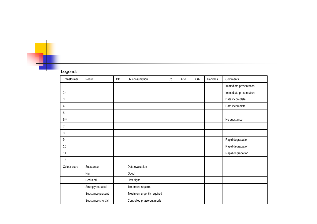#### Legend:

Ŧ

| Transformer | Result              | DP | O2 consumption              | $\operatorname{\mathsf{Cp}}$ | Acid | <b>DGA</b> | Particles | Comments               |
|-------------|---------------------|----|-----------------------------|------------------------------|------|------------|-----------|------------------------|
| $1^*$       |                     |    |                             |                              |      |            |           | Immediate preservation |
| $2^{\star}$ |                     |    |                             |                              |      |            |           | Immediate preservation |
| 3           |                     |    |                             |                              |      |            |           | Data incomplete        |
| 4           |                     |    |                             |                              |      |            |           | Data incomplete        |
| 5           |                     |    |                             |                              |      |            |           |                        |
| $6***$      |                     |    |                             |                              |      |            |           | No substance           |
| 7           |                     |    |                             |                              |      |            |           |                        |
| 8           |                     |    |                             |                              |      |            |           |                        |
| 9           |                     |    |                             |                              |      |            |           | Rapid degradation      |
| 10          |                     |    |                             |                              |      |            |           | Rapid degradation      |
| 11          |                     |    |                             |                              |      |            |           | Rapid degradation      |
| 13          |                     |    |                             |                              |      |            |           |                        |
| Colour code | Substance           |    | Data evaluation             |                              |      |            |           |                        |
|             | High                |    | Good                        |                              |      |            |           |                        |
|             | Reduced             |    | First signs                 |                              |      |            |           |                        |
|             | Strongly reduced    |    | Treatment required          |                              |      |            |           |                        |
|             | Substance present   |    | Treatment urgently required |                              |      |            |           |                        |
|             | Substance shortfall |    | Controlled phase-out mode   |                              |      |            |           |                        |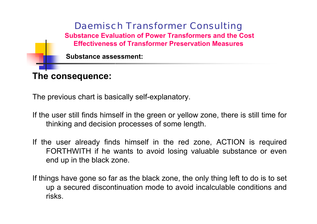

The previous chart is basically self-explanatory.

- If the user still finds himself in the green or yellow zone, there is still time for thinking and decision processes of some length.
- If the user already finds himself in the red zone, ACTION is required FORTHWITH if he wants to avoid losing valuable substance or even end up in the black zone.
- If things have gone so far as the black zone, the only thing left to do is to set up a secured discontinuation mode to avoid incalculable conditions and risks.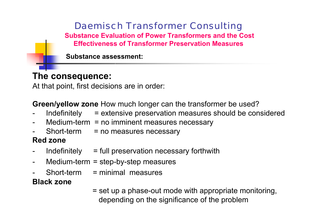**Substanceassessment:**

### **The consequence:**

At that point, first decisions are in order:

**Green/yellow zone** How much longer can the transformer be used?

- Indefinitely = extensive preservation measures should be considered
- Medium-term = no imminent measures necessary
- Short-term = no measures necessary

### **Red zone**

- Indefinitely = full preservation necessary forthwith
- Medium-term = step-by-step measures
- -Short-term= minimal measures

### **Black zone**

= set up a phase-out mode with appropriate monitoring, depending on the significance of the problem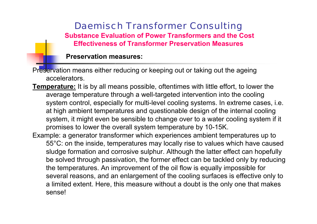#### **Preservationmeasures:**

Preservation means either reducing or keeping out or taking out the ageing accelerators.

**Temperature:** It is by all means possible, oftentimes with little effort, to lower the average temperature through a well-targeted intervention into the cooling system control, especially for multi-level cooling systems. In extreme cases, i.e. at high ambient temperatures and questionable design of the internal cooling system, it might even be sensible to change over to a water cooling system if it promises to lower the overall system temperature by 10-15K.

Example: a generator transformer which experiences ambient temperatures up to 55°C: on the inside, temperatures may locally rise to values which have caused sludge formation and corrosive sulphur. Although the latter effect can hopefully be solved through passivation, the former effect can be tackled only by reducing the temperatures. An improvement of the oil flow is equally impossible for several reasons, and an enlargement of the cooling surfaces is effective only to a limited extent. Here, this measure without a doubt is the only one that makes sense!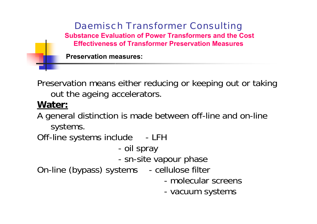

Preservation means either reducing or keeping out or taking out the ageing accelerators.

### **Water:**

A general distinction is made between off-line and on-line systems.

Off-line systems include - LFH

> oil spray

- sn-site vapour phase

On-line (bypass) systems - cellulose filter

- -molecular screens
- vacuum systems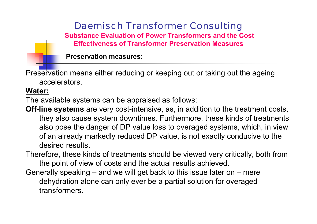**Preservationmeasures:**

Preservation means either reducing or keeping out or taking out the ageing accelerators.

#### **Water:**

The available systems can be appraised as follows:

- **Off-line systems** are very cost-intensive, as, in addition to the treatment costs, they also cause system downtimes. Furthermore, these kinds of treatments als o pose the danger of DP value loss to overaged systems, which, in view of an already markedly reduced DP value, is not exactly conducive to the desired results.
- Therefore, these kinds of treatments should be viewed very critically, both from the point of view of costs and the actual results achieved.
- Generally speaking and we will get back to t his issue later on mere dehydration alone can only ever be a partial solution for overaged transformers.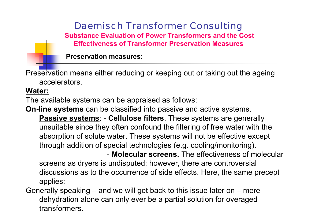**Preservationmeasures:**

Preservation means either reducing or keeping out or taking out the ageing accelerators.

#### **Water:**

The available systems can be appraised as follows:

**On-line systems** can be classified into passive and active systems.

**Passive systems**: - **Cellulose filters**. These systems are generally unsuitable since they often confound the filtering of free water with the absorption o f solute water. These systems will not be e ffecti ve except through addition of special technologies (e.g. cooling/monitoring).

- **Molecular screens.** The effectiveness of molecular screens as dryers is undisputed; howev er, there are controversial discus sions as to the occurrence of side effects. Here, the same precept applies:

Generally speaking – and we will get back to t his issue later on – mere dehydration alone can only ever be a partial solution for overaged transformers.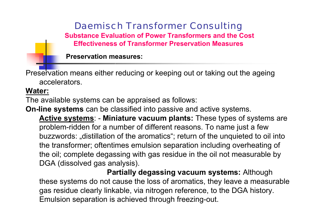**Preservationmeasures:**

Preservation means either reducing or keeping out or taking out the ageing accelerators.

#### **Water:**

The available systems can be appraised as follows:

**On-line systems** can be classified into passive and active systems.

**Active systems**: - **Miniature vacuum plants:** These types of systems are problem-ridden for a number of different reasons. To name just a few buzz words: "distillation of the aromatics"; return of the unquieted to oil into the transformer; oftentimes emulsion separation including overheating of the oil; complete degassing with gas residue in the oil not measurable by DGA (dissolved gas analy sis).

**Partially degassing vacuum systems:** Although these systems do not cause the loss of aromatics, they leave a measurable gas residue clearly linkable, via nitrogen reference, to the DGA history. Emulsion separation is achieved through freezing-out.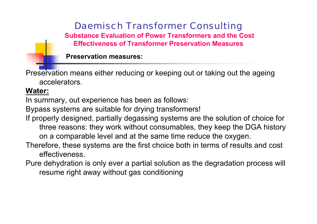**Preservationmeasures:**

Preservation means either reducing or keeping out or taking out the ageing accelerators.

#### **Water:**

In summary, out experience has been as follows:

Bypass systems are suitable for drying transformers!

If properly designed, partially degassing systems are the solution of choice for three reasons: they work without consumables, they keep the DGA history on a comparable level and at the same time reduce the oxygen.

Therefore, these systems are the first choice both in terms of results and cost effectiveness.

Pure dehydration is only ever a partial solution as the degradation process will resume right away without gas conditioning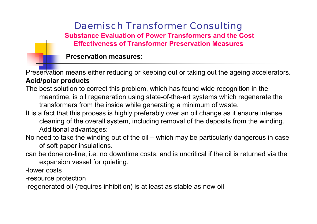**Preservationmeasures:**

Preservation means either reducing or keeping out or taking out the ageing accelerators. **Acid/polar products**

- The best solution to correct this problem, which has found wide recognition in the meantime, is oil regeneration using state-of-the-art systems which regenerate the transformers from the inside while generating a minimum of waste.
- It is a fact that this process is highly preferably over an oil change as it ensure intense cleaning of the overall system, including removal of the deposits from the winding. Additional advantages:
- No need to take the winding out of the oil which may be particularly dangerous in case of soft paper insulations.
- can be done on-line, i.e. no downtime costs, and is uncritical if the oil is returned via the expansion vessel for quieting.

-lower costs

-resource protection

-regenerated oil (requires inhibition) is at least as stable as new oil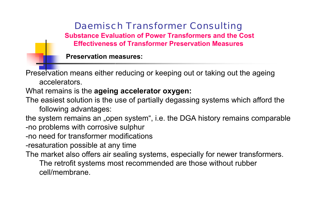**Preservationmeasures:**

Preservation means either reducing or keeping out or taking out the ageing accelerators.

What remains is the **ageing accelerator oxygen:**

The easiest solution is the use of partially degassing systems which afford the following advantages:

the system remains an "open system", i.e. the DGA history remains comparable -no problems with corrosive sulphur

- -no need for transformer modifications
- -resaturation possible at any time

The market also offers air sealing systems, especially for newer transformers. The retrofit systems most recommended are those without rubber

cell/membrane.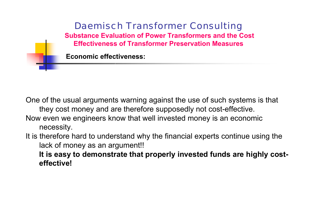

One of the usual arguments warning against the use of such systems is that they cost money and are therefore supposedly not cost-effective. Now even we engineers know that well inves ted money is an economic necessity.

It is therefore hard to understand why the financial experts continue using the lack of money as an argument!!

**It is easy to demonstrate that properly invested funds are highly costeffective!**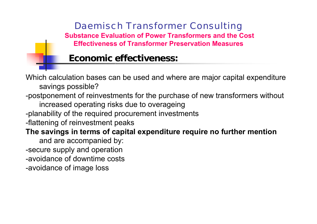### **Economi c effectiveness:**

Which calculation bases can be used and where are major capital expenditure savings possible?

-postponement of reinvestments for the purchase of new transformers without

increased operating risks due to overageing

-planability of the required procurement investments

-flattening of reinves tment peaks

**The savings in terms of capital expenditure require no further mention**

and are accompanied by: -secure supply and operation -avoidance of downtime costs -avoidance of image loss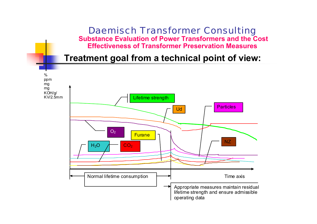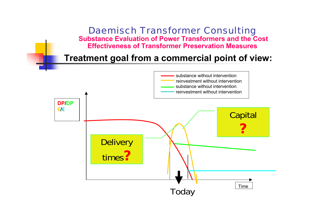

#### **Treatment goal from a commercial point of view:**

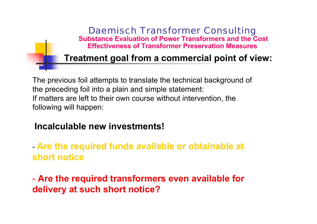## **Treatment goal from a commercial point of view:**

The previous foil attempts to translate the technical background of the preceding foil into a plain and simple statement: If matters are left to their own course without intervention, the following will happen:

### **Incalculable new investments!**

### **Are the required funds available or obtainable at short notice**

- **Are the required transformers even available for delivery at such short notice?**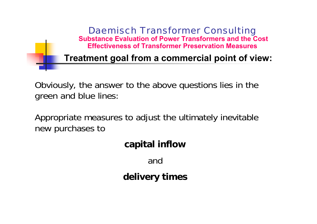

Obviously, the answer to the above questions lies in the green and blue lines:

Appropriate measures to adjust the ultimately inevitable new purchases to

### **capital inflow**

and

**delivery times**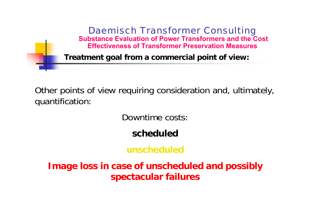

Other points of view requiring consideration and, ultimately, quantification:

Downtime costs:

**scheduled**

**unscheduled**

**Image loss in case of unscheduled and possibly spectacular failures**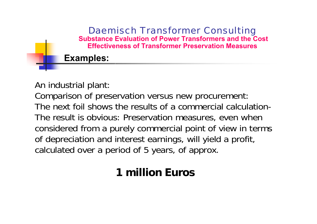

An industrial plant:

Comparison of preservation versus new procurement: The next foil shows the results of a commercial calculation-The result is obvious: Preservation measures, even when considered from a purely commercial point of view in terms of depreciation and interest earnings, will yield a profit, calculated over a period of 5 years, of approx.

# **1 millionEuros**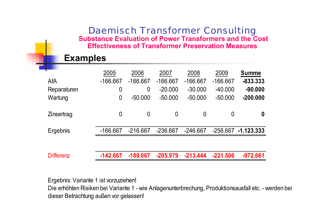#### **Examples**

|                  | 2005           | 2006           | 2007             | 2008           | 2009           | <b>Summe</b> |
|------------------|----------------|----------------|------------------|----------------|----------------|--------------|
| AfA              | $-166.667$     | $-166.667$     | $-166.667$       | $-166.667$     | $-166.667$     | $-833.333$   |
| Reparaturen      | 0              | $\overline{0}$ | $-20.000$        | $-30.000$      | $-40.000$      | $-90.000$    |
| Wartung          | $\overline{0}$ | $-50.000$      | $-50.000$        | $-50.000$      | $-50.000$      | $-200.000$   |
|                  |                |                |                  |                |                |              |
| Zinsertrag       | $\overline{0}$ | $\overline{0}$ | $\boldsymbol{0}$ | $\overline{0}$ | $\overline{0}$ | 0            |
|                  |                |                |                  |                |                |              |
| Ergebnis         | $-166.667$     | $-216.667$     | $-236.667$       | $-246.667$     | $-256.667$     | $-1.123.333$ |
|                  |                |                |                  |                |                |              |
|                  |                |                |                  |                |                |              |
| <b>Differenz</b> | $-142.667$     | $-189.067$     | $-205.979$       | $-213.444$     | $-221.506$     | $-972.661$   |

Ergebnis: Variante 1 ist vorzuziehen!

Die erhöhten Risiken bei Variante 1 - wie Anlagenunterbrechung, Produktionsausfall etc. - werden bei dieser Betrachtung außen vor gelassen!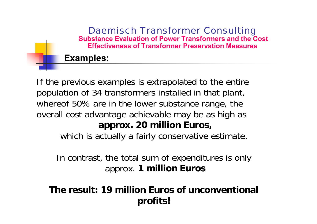### **Examples:**

If the previous examples is extrapolated to the entire population of 34 transformers installed in that plant, whereof 50% are in the lower substance range, the overall cost advantage achievable may be as high as **approx. 20 million Euros,**

which is actually a fairly conservative estimate.

In contrast, the total sum of expenditures is only approx. **1 million Euros**

**Theresult: 19 million Euros of unconventional profits!**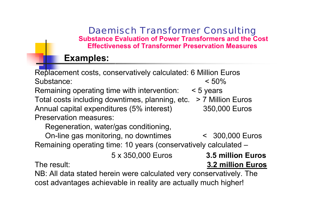### **Examples:**

Replacement costs, conservatively calculated: 6 Million Euros Substance: < 50%Remaining operating time with intervention: < 5 years Total costs including downtimes, planning, etc. > 7 Million Euros Annual capital expenditures (5% interest) 350,000 Euros Preservation measures:

Regeneration, water/gas conditioning,

On-line gas monitoring, no downtimes < 300,000 Euros Remaining operating time: 10 years (conservatively calculated –

5 x 350,000 Euros

The result:

**Euros**result: **3.2 million Euros**

NB: All data stated herein were calculated very conservatively. The cost advantages achievable in reality are actually much higher!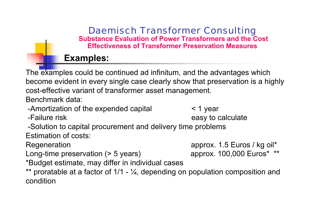### **Examples:**

The examples could be continued ad infinitum, and the advantages which become evident in every single case clearly show that preservation is a highly cost-effective variant of transformer asset management.

Benchmark data:

- -Amortization of the expended capital < 1 year
- -Failure risk easy to calculate

- -Solution to capital procurement and delivery time problems Estimation of costs:
- 
- Long-time preservation (> 5 years) approx. 100,000 Euros\* \*\*
- \*Budget estimate, may differ in individual cases
- \*\* proratable at a factor of 1/1 ¼, depending on population composition and condition

Regeneration **approx.** 1.5 Euros / kg oil\*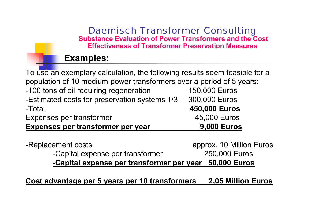### **Examples:**

| To use an exemplary calculation, the following results seem feasible for a |                          |
|----------------------------------------------------------------------------|--------------------------|
| population of 10 medium-power transformers over a period of 5 years:       |                          |
|                                                                            |                          |
| -100 tons of oil requiring regeneration                                    | 150,000 Euros            |
| -Estimated costs for preservation systems 1/3                              | 300,000 Euros            |
| -Total                                                                     | 450,000 Euros            |
| Expenses per transformer                                                   | 45,000 Euros             |
| Expenses per transformer per year                                          | <b>9,000 Euros</b>       |
|                                                                            |                          |
| -Replacement costs                                                         | approx. 10 Million Euros |
| -Capital expense per transformer                                           | 250,000 Euros            |
| -Capital expense per transformer per year                                  | <b>50,000 Euros</b>      |

**Cost advantage per 5 years per 10 transformers 2,05 Million Euros**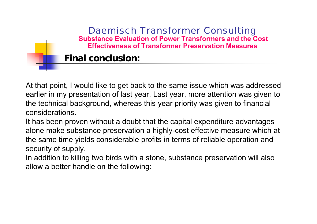At that point, I would like to get back to the same issue which was addressed earlier in my presentation of last year. Last year, more attention was given to the technical background, whereas this year priority was given to financial considerations.

It has been proven without a doubt that the capital expenditure advantages alone make substance preservation a highly-cost effective measure which at the same time yields considerable profits in terms of reliable operation and security o f supply.

In addition to killing two birds with a stone, substance preservation will also allow a better handle on the following: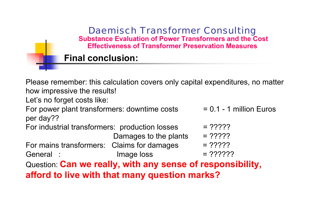|                                                | <b>Effectiveness of Transformer Preservation Measures</b>                     |                           |  |  |  |
|------------------------------------------------|-------------------------------------------------------------------------------|---------------------------|--|--|--|
| <b>Final conclusion:</b>                       |                                                                               |                           |  |  |  |
|                                                |                                                                               |                           |  |  |  |
|                                                | Please remember: this calculation covers only capital expenditures, no matter |                           |  |  |  |
| how impressive the results!                    |                                                                               |                           |  |  |  |
| Let's no forget costs like:                    |                                                                               |                           |  |  |  |
| For power plant transformers: downtime costs   |                                                                               | $= 0.1 - 1$ million Euros |  |  |  |
| per day??                                      |                                                                               |                           |  |  |  |
| For industrial transformers: production losses |                                                                               | $= 22222$                 |  |  |  |
|                                                | Damages to the plants                                                         | $= 22222$                 |  |  |  |
| For mains transformers: Claims for damages     |                                                                               | $= 22222$                 |  |  |  |
| General :                                      | Image loss                                                                    | $= 222222$                |  |  |  |
|                                                | Question: Can we really, with any sense of responsibility,                    |                           |  |  |  |
| afford to live with that many question marks?  |                                                                               |                           |  |  |  |

 $\overline{\phantom{a}}$ 

Daemisch Transformer Consulting **Substance Evaluation of Power Transformers and the Cost**